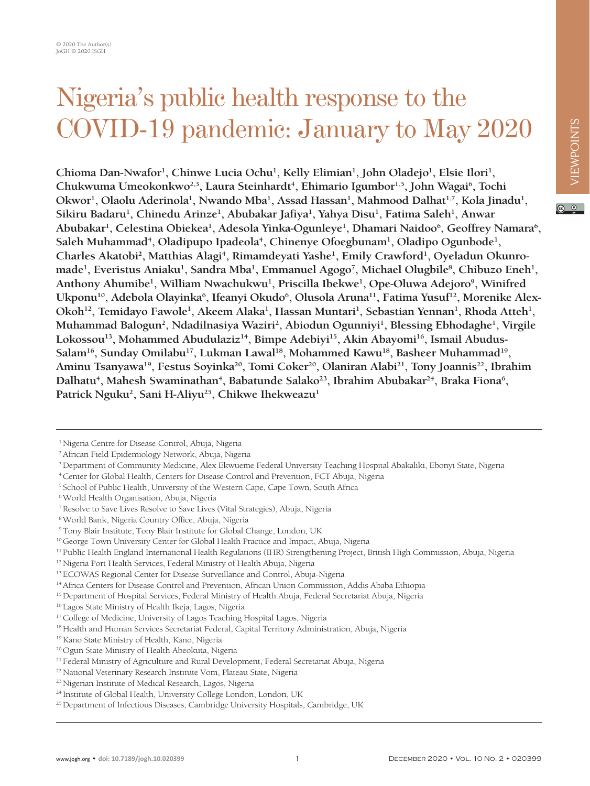$\circ$   $\circ$ 

## Nigeria's public health response to the COVID-19 pandemic: January to May 2020

**Chioma Dan-Nwafor<sup>1</sup> , Chinwe Lucia Ochu<sup>1</sup> , Kelly Elimian<sup>1</sup> , John Oladejo<sup>1</sup> , Elsie Ilori<sup>1</sup> , Chukwuma Umeokonkwo2,3, Laura Steinhardt<sup>4</sup> , Ehimario Igumbor1,5, John Wagai<sup>6</sup> , Tochi Okwor<sup>1</sup> , Olaolu Aderinola<sup>1</sup> , Nwando Mba<sup>1</sup> , Assad Hassan<sup>1</sup> , Mahmood Dalhat1,7, Kola Jinadu<sup>1</sup> , Sikiru Badaru<sup>1</sup> , Chinedu Arinze<sup>1</sup> , Abubakar Jafiya<sup>1</sup> , Yahya Disu<sup>1</sup> , Fatima Saleh<sup>1</sup> , Anwar Abubakar<sup>1</sup> , Celestina Obiekea<sup>1</sup> , Adesola Yinka-Ogunleye<sup>1</sup> , Dhamari Naidoo<sup>6</sup> , Geoffrey Namara<sup>6</sup> , Saleh Muhammad<sup>4</sup> , Oladipupo Ipadeola<sup>4</sup> , Chinenye Ofoegbunam<sup>1</sup> , Oladipo Ogunbode<sup>1</sup> , Charles Akatobi<sup>2</sup> , Matthias Alagi<sup>4</sup> , Rimamdeyati Yashe<sup>1</sup> , Emily Crawford<sup>1</sup> , Oyeladun Okunromade<sup>1</sup> , Everistus Aniaku<sup>1</sup> , Sandra Mba<sup>1</sup> , Emmanuel Agogo<sup>7</sup> , Michael Olugbile<sup>8</sup> , Chibuzo Eneh<sup>1</sup> , Anthony Ahumibe<sup>1</sup> , William Nwachukwu<sup>1</sup> , Priscilla Ibekwe<sup>1</sup> , Ope-Oluwa Adejoro<sup>9</sup> , Winifred Ukponu<sup>10</sup> , Adebola Olayinka<sup>6</sup> , Ifeanyi Okudo<sup>6</sup> , Olusola Aruna11, Fatima Yusuf<sup>12</sup> , Morenike Alex-**Okoh<sup>12</sup>, Temidayo Fawole<sup>1</sup>, Akeem Alaka<sup>1</sup>, Hassan Muntari<sup>1</sup>, Sebastian Yennan<sup>1</sup>, Rhoda Atteh<sup>1</sup>, **Muhammad Balogun<sup>2</sup> , Ndadilnasiya Waziri<sup>2</sup> , Abiodun Ogunniyi<sup>1</sup> , Blessing Ebhodaghe<sup>1</sup> , Virgile Lokossou13, Mohammed Abudulaziz14, Bimpe Adebiyi15, Akin Abayomi16, Ismail Abudus-Salam16, Sunday Omilabu17, Lukman Lawal18, Mohammed Kawu18, Basheer Muhammad<sup>19</sup> , Aminu Tsanyawa19, Festus Soyinka<sup>20</sup> , Tomi Coker20, Olaniran Alabi<sup>21</sup> , Tony Joannis22, Ibrahim** Dalhatu<sup>4</sup>, Mahesh Swaminathan<sup>4</sup>, Babatunde Salako<sup>23</sup>, Ibrahim Abubakar<sup>24</sup>, Braka Fiona<sup>6</sup>, **Patrick Nguku<sup>2</sup> , Sani H-Aliyu25, Chikwe Ihekweazu1**

4 Center for Global Health, Centers for Disease Control and Prevention, FCT Abuja, Nigeria

5 School of Public Health, University of the Western Cape, Cape Town, South Africa

<sup>1</sup> Nigeria Centre for Disease Control, Abuja, Nigeria

<sup>2</sup> African Field Epidemiology Network, Abuja, Nigeria

<sup>3</sup> Department of Community Medicine, Alex Ekwueme Federal University Teaching Hospital Abakaliki, Ebonyi State, Nigeria

<sup>6</sup> World Health Organisation, Abuja, Nigeria

<sup>7</sup> Resolve to Save Lives Resolve to Save Lives (Vital Strategies), Abuja, Nigeria

<sup>8</sup> World Bank, Nigeria Country Office, Abuja, Nigeria

<sup>9</sup> Tony Blair Institute, Tony Blair Institute for Global Change, London, UK

<sup>&</sup>lt;sup>10</sup> George Town University Center for Global Health Practice and Impact, Abuja, Nigeria

<sup>11</sup> Public Health England International Health Regulations (IHR) Strengthening Project, British High Commission, Abuja, Nigeria

<sup>&</sup>lt;sup>12</sup> Nigeria Port Health Services, Federal Ministry of Health Abuja, Nigeria

<sup>&</sup>lt;sup>13</sup> ECOWAS Regional Center for Disease Surveillance and Control, Abuja-Nigeria

<sup>&</sup>lt;sup>14</sup> Africa Centers for Disease Control and Prevention, African Union Commission, Addis Ababa Ethiopia

<sup>&</sup>lt;sup>15</sup> Department of Hospital Services, Federal Ministry of Health Abuja, Federal Secretariat Abuja, Nigeria

<sup>16</sup> Lagos State Ministry of Health Ikeja, Lagos, Nigeria

<sup>&</sup>lt;sup>17</sup> College of Medicine, University of Lagos Teaching Hospital Lagos, Nigeria

<sup>&</sup>lt;sup>18</sup> Health and Human Services Secretariat Federal, Capital Territory Administration, Abuja, Nigeria

<sup>19</sup> Kano State Ministry of Health, Kano, Nigeria

<sup>20</sup> Ogun State Ministry of Health Abeokuta, Nigeria

<sup>&</sup>lt;sup>21</sup> Federal Ministry of Agriculture and Rural Development, Federal Secretariat Abuja, Nigeria

<sup>22</sup> National Veterinary Research Institute Vom, Plateau State, Nigeria

<sup>23</sup> Nigerian Institute of Medical Research, Lagos, Nigeria

<sup>24</sup> Institute of Global Health, University College London, London, UK

<sup>&</sup>lt;sup>25</sup> Department of Infectious Diseases, Cambridge University Hospitals, Cambridge, UK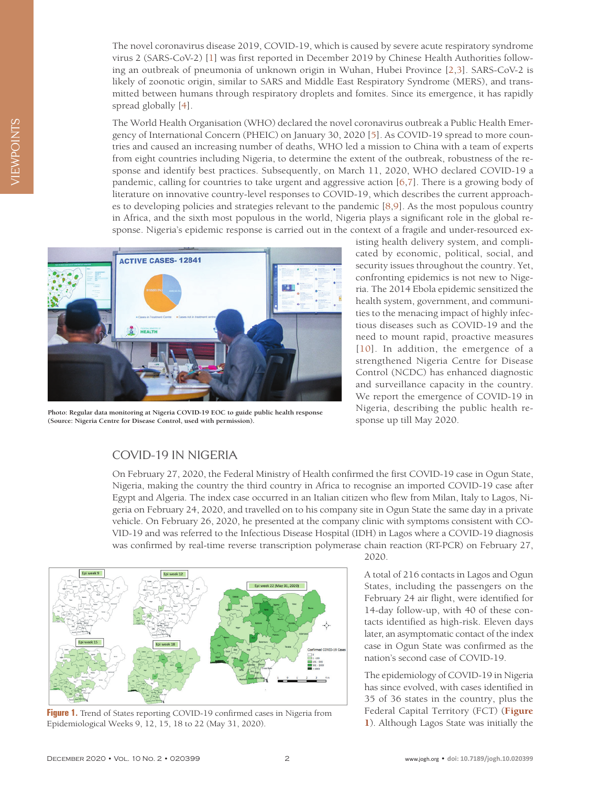The novel coronavirus disease 2019, COVID-19, which is caused by severe acute respiratory syndrome virus 2 (SARS-CoV-2) [[1](#page-7-0)] was first reported in December 2019 by Chinese Health Authorities following an outbreak of pneumonia of unknown origin in Wuhan, Hubei Province [[2](#page-7-1)[,3\]](#page-7-2). SARS-CoV-2 is likely of zoonotic origin, similar to SARS and Middle East Respiratory Syndrome (MERS), and transmitted between humans through respiratory droplets and fomites. Since its emergence, it has rapidly spread globally [\[4\]](#page-7-3).

The World Health Organisation (WHO) declared the novel coronavirus outbreak a Public Health Emergency of International Concern (PHEIC) on January 30, 2020 [[5\]](#page-7-4). As COVID-19 spread to more countries and caused an increasing number of deaths, WHO led a mission to China with a team of experts from eight countries including Nigeria, to determine the extent of the outbreak, robustness of the response and identify best practices. Subsequently, on March 11, 2020, WHO declared COVID-19 a pandemic, calling for countries to take urgent and aggressive action [\[6](#page-7-5)[,7\]](#page-7-6). There is a growing body of literature on innovative country-level responses to COVID-19, which describes the current approaches to developing policies and strategies relevant to the pandemic [\[8,](#page-7-7)[9\]](#page-7-8). As the most populous country in Africa, and the sixth most populous in the world, Nigeria plays a significant role in the global response. Nigeria's epidemic response is carried out in the context of a fragile and under-resourced ex-



**Photo: Regular data monitoring at Nigeria COVID-19 EOC to guide public health response (Source: Nigeria Centre for Disease Control, used with permission).**

isting health delivery system, and complicated by economic, political, social, and security issues throughout the country. Yet, confronting epidemics is not new to Nigeria. The 2014 Ebola epidemic sensitized the health system, government, and communities to the menacing impact of highly infectious diseases such as COVID-19 and the need to mount rapid, proactive measures [[10\]](#page-7-9). In addition, the emergence of a strengthened Nigeria Centre for Disease Control (NCDC) has enhanced diagnostic and surveillance capacity in the country. We report the emergence of COVID-19 in Nigeria, describing the public health response up till May 2020.

## COVID-19 IN NIGERIA

On February 27, 2020, the Federal Ministry of Health confirmed the first COVID-19 case in Ogun State, Nigeria, making the country the third country in Africa to recognise an imported COVID-19 case after Egypt and Algeria. The index case occurred in an Italian citizen who flew from Milan, Italy to Lagos, Nigeria on February 24, 2020, and travelled on to his company site in Ogun State the same day in a private vehicle. On February 26, 2020, he presented at the company clinic with symptoms consistent with CO-VID-19 and was referred to the Infectious Disease Hospital (IDH) in Lagos where a COVID-19 diagnosis was confirmed by real-time reverse transcription polymerase chain reaction (RT-PCR) on February 27,

<span id="page-1-0"></span>

**Figure 1.** Trend of States reporting COVID-19 confirmed cases in Nigeria from Epidemiological Weeks 9, 12, 15, 18 to 22 (May 31, 2020).

2020.

A total of 216 contacts in Lagos and Ogun States, including the passengers on the February 24 air flight, were identified for 14-day follow-up, with 40 of these contacts identified as high-risk. Eleven days later, an asymptomatic contact of the index case in Ogun State was confirmed as the nation's second case of COVID-19.

The epidemiology of COVID-19 in Nigeria has since evolved, with cases identified in 35 of 36 states in the country, plus the Federal Capital Territory (FCT) (**[Figure](#page-1-0)  [1](#page-1-0)**). Although Lagos State was initially the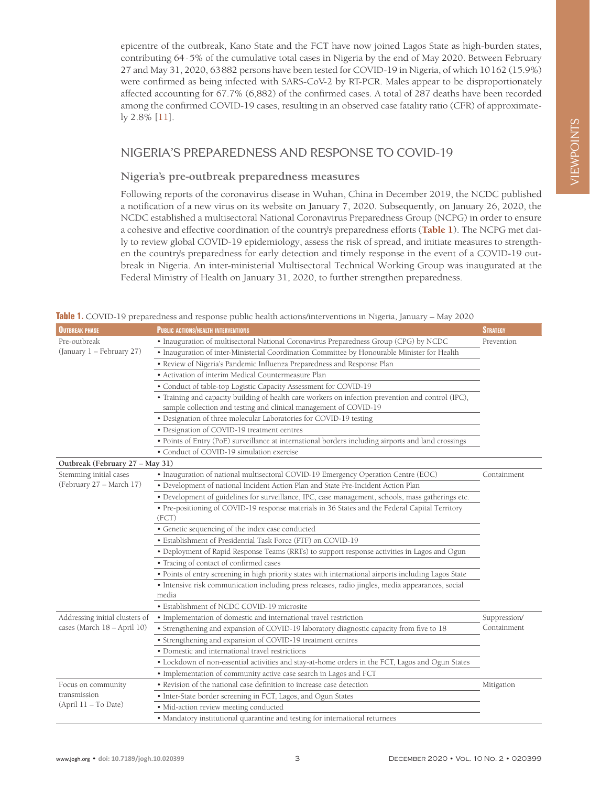epicentre of the outbreak, Kano State and the FCT have now joined Lagos State as high-burden states, contributing 64·5% of the cumulative total cases in Nigeria by the end of May 2020. Between February 27 and May 31, 2020, 63882 persons have been tested for COVID-19 in Nigeria, of which 10162 (15.9%) were confirmed as being infected with SARS-CoV-2 by RT-PCR. Males appear to be disproportionately affected accounting for 67.7% (6,882) of the confirmed cases. A total of 287 deaths have been recorded among the confirmed COVID-19 cases, resulting in an observed case fatality ratio (CFR) of approximately 2.8% [\[11](#page-7-10)].

## NIGERIA'S PREPAREDNESS AND RESPONSE TO COVID-19

## **Nigeria's pre-outbreak preparedness measures**

Following reports of the coronavirus disease in Wuhan, China in December 2019, the NCDC published a notification of a new virus on its website on January 7, 2020. Subsequently, on January 26, 2020, the NCDC established a multisectoral National Coronavirus Preparedness Group (NCPG) in order to ensure a cohesive and effective coordination of the country's preparedness efforts (**[Table 1](#page-2-0)**). The NCPG met daily to review global COVID-19 epidemiology, assess the risk of spread, and initiate measures to strengthen the country's preparedness for early detection and timely response in the event of a COVID-19 outbreak in Nigeria. An inter-ministerial Multisectoral Technical Working Group was inaugurated at the Federal Ministry of Health on January 31, 2020, to further strengthen preparedness.

| <b>OUTBREAK PHASE</b>                                         | <b>PUBLIC ACTIONS/HEALTH INTERVENTIONS</b>                                                               | <b>STRATEGY</b> |
|---------------------------------------------------------------|----------------------------------------------------------------------------------------------------------|-----------------|
| Pre-outbreak<br>(January 1 - February 27)                     | · Inauguration of multisectoral National Coronavirus Preparedness Group (CPG) by NCDC                    | Prevention      |
|                                                               | • Inauguration of inter-Ministerial Coordination Committee by Honourable Minister for Health             |                 |
|                                                               | • Review of Nigeria's Pandemic Influenza Preparedness and Response Plan                                  |                 |
|                                                               | • Activation of interim Medical Countermeasure Plan                                                      |                 |
|                                                               | • Conduct of table-top Logistic Capacity Assessment for COVID-19                                         |                 |
|                                                               | · Training and capacity building of health care workers on infection prevention and control (IPC),       |                 |
|                                                               | sample collection and testing and clinical management of COVID-19                                        |                 |
|                                                               | · Designation of three molecular Laboratories for COVID-19 testing                                       |                 |
|                                                               | · Designation of COVID-19 treatment centres                                                              |                 |
|                                                               | • Points of Entry (PoE) surveillance at international borders including airports and land crossings      |                 |
|                                                               | • Conduct of COVID-19 simulation exercise                                                                |                 |
| Outbreak (February 27 – May 31)                               |                                                                                                          |                 |
| Stemming initial cases<br>(February 27 – March 17)            | · Inauguration of national multisectoral COVID-19 Emergency Operation Centre (EOC)                       | Containment     |
|                                                               | · Development of national Incident Action Plan and State Pre-Incident Action Plan                        |                 |
|                                                               | • Development of guidelines for surveillance, IPC, case management, schools, mass gatherings etc.        |                 |
|                                                               | • Pre-positioning of COVID-19 response materials in 36 States and the Federal Capital Territory<br>(FCT) |                 |
|                                                               | • Genetic sequencing of the index case conducted                                                         |                 |
|                                                               | · Establishment of Presidential Task Force (PTF) on COVID-19                                             |                 |
|                                                               | · Deployment of Rapid Response Teams (RRTs) to support response activities in Lagos and Ogun             |                 |
|                                                               | • Tracing of contact of confirmed cases                                                                  |                 |
|                                                               | · Points of entry screening in high priority states with international airports including Lagos State    |                 |
|                                                               | · Intensive risk communication including press releases, radio jingles, media appearances, social        |                 |
|                                                               | media                                                                                                    |                 |
|                                                               | · Establishment of NCDC COVID-19 microsite                                                               |                 |
| Addressing initial clusters of<br>cases (March 18 - April 10) | • Implementation of domestic and international travel restriction                                        | Suppression/    |
|                                                               | • Strengthening and expansion of COVID-19 laboratory diagnostic capacity from five to 18                 | Containment     |
|                                                               | • Strengthening and expansion of COVID-19 treatment centres                                              |                 |
|                                                               | · Domestic and international travel restrictions                                                         |                 |
|                                                               | • Lockdown of non-essential activities and stay-at-home orders in the FCT, Lagos and Ogun States         |                 |
|                                                               | • Implementation of community active case search in Lagos and FCT                                        |                 |
| Focus on community<br>transmission<br>(April 11 - To Date)    | • Revision of the national case definition to increase case detection                                    | Mitigation      |
|                                                               | • Inter-State border screening in FCT, Lagos, and Ogun States                                            |                 |
|                                                               | · Mid-action review meeting conducted                                                                    |                 |
|                                                               | • Mandatory institutional quarantine and testing for international returnees                             |                 |

<span id="page-2-0"></span>**Table 1.** COVID-19 preparedness and response public health actions/interventions in Nigeria, January – May 2020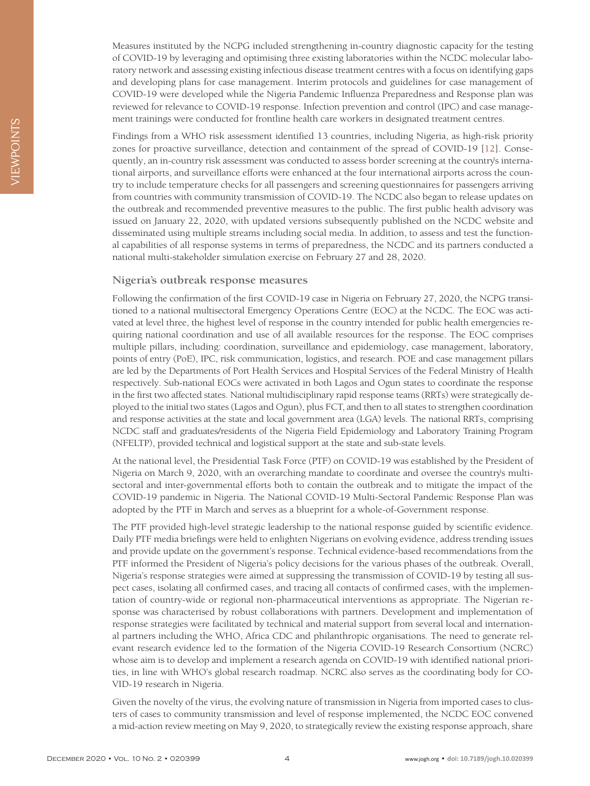Measures instituted by the NCPG included strengthening in-country diagnostic capacity for the testing of COVID-19 by leveraging and optimising three existing laboratories within the NCDC molecular laboratory network and assessing existing infectious disease treatment centres with a focus on identifying gaps and developing plans for case management. Interim protocols and guidelines for case management of COVID-19 were developed while the Nigeria Pandemic Influenza Preparedness and Response plan was reviewed for relevance to COVID-19 response. Infection prevention and control (IPC) and case management trainings were conducted for frontline health care workers in designated treatment centres.

Findings from a WHO risk assessment identified 13 countries, including Nigeria, as high-risk priority zones for proactive surveillance, detection and containment of the spread of COVID-19 [\[12\]](#page-7-11). Consequently, an in-country risk assessment was conducted to assess border screening at the country's international airports, and surveillance efforts were enhanced at the four international airports across the country to include temperature checks for all passengers and screening questionnaires for passengers arriving from countries with community transmission of COVID-19. The NCDC also began to release updates on the outbreak and recommended preventive measures to the public. The first public health advisory was issued on January 22, 2020, with updated versions subsequently published on the NCDC website and disseminated using multiple streams including social media. In addition, to assess and test the functional capabilities of all response systems in terms of preparedness, the NCDC and its partners conducted a national multi-stakeholder simulation exercise on February 27 and 28, 2020.

#### **Nigeria's outbreak response measures**

Following the confirmation of the first COVID-19 case in Nigeria on February 27, 2020, the NCPG transitioned to a national multisectoral Emergency Operations Centre (EOC) at the NCDC. The EOC was activated at level three, the highest level of response in the country intended for public health emergencies requiring national coordination and use of all available resources for the response. The EOC comprises multiple pillars, including: coordination, surveillance and epidemiology, case management, laboratory, points of entry (PoE), IPC, risk communication, logistics, and research. POE and case management pillars are led by the Departments of Port Health Services and Hospital Services of the Federal Ministry of Health respectively. Sub-national EOCs were activated in both Lagos and Ogun states to coordinate the response in the first two affected states. National multidisciplinary rapid response teams (RRTs) were strategically deployed to the initial two states (Lagos and Ogun), plus FCT, and then to all states to strengthen coordination and response activities at the state and local government area (LGA) levels. The national RRTs, comprising NCDC staff and graduates/residents of the Nigeria Field Epidemiology and Laboratory Training Program (NFELTP), provided technical and logistical support at the state and sub-state levels.

At the national level, the Presidential Task Force (PTF) on COVID-19 was established by the President of Nigeria on March 9, 2020, with an overarching mandate to coordinate and oversee the country's multisectoral and inter-governmental efforts both to contain the outbreak and to mitigate the impact of the COVID-19 pandemic in Nigeria. The National COVID-19 Multi-Sectoral Pandemic Response Plan was adopted by the PTF in March and serves as a blueprint for a whole-of-Government response.

The PTF provided high-level strategic leadership to the national response guided by scientific evidence. Daily PTF media briefings were held to enlighten Nigerians on evolving evidence, address trending issues and provide update on the government's response. Technical evidence-based recommendations from the PTF informed the President of Nigeria's policy decisions for the various phases of the outbreak. Overall, Nigeria's response strategies were aimed at suppressing the transmission of COVID-19 by testing all suspect cases, isolating all confirmed cases, and tracing all contacts of confirmed cases, with the implementation of country-wide or regional non-pharmaceutical interventions as appropriate. The Nigerian response was characterised by robust collaborations with partners. Development and implementation of response strategies were facilitated by technical and material support from several local and international partners including the WHO, Africa CDC and philanthropic organisations. The need to generate relevant research evidence led to the formation of the Nigeria COVID-19 Research Consortium (NCRC) whose aim is to develop and implement a research agenda on COVID-19 with identified national priorities, in line with WHO's global research roadmap. NCRC also serves as the coordinating body for CO-VID-19 research in Nigeria.

Given the novelty of the virus, the evolving nature of transmission in Nigeria from imported cases to clusters of cases to community transmission and level of response implemented, the NCDC EOC convened a mid-action review meeting on May 9, 2020, to strategically review the existing response approach, share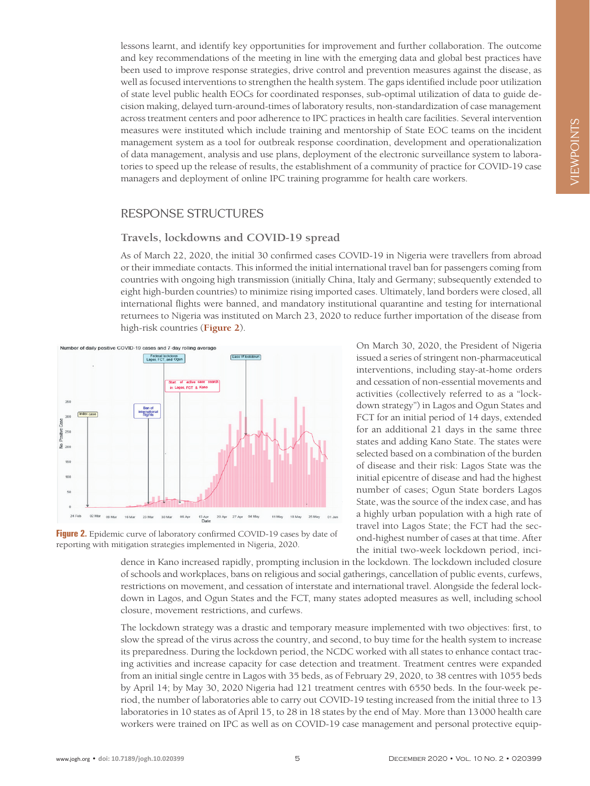lessons learnt, and identify key opportunities for improvement and further collaboration. The outcome and key recommendations of the meeting in line with the emerging data and global best practices have been used to improve response strategies, drive control and prevention measures against the disease, as well as focused interventions to strengthen the health system. The gaps identified include poor utilization of state level public health EOCs for coordinated responses, sub-optimal utilization of data to guide decision making, delayed turn-around-times of laboratory results, non-standardization of case management across treatment centers and poor adherence to IPC practices in health care facilities. Several intervention measures were instituted which include training and mentorship of State EOC teams on the incident management system as a tool for outbreak response coordination, development and operationalization of data management, analysis and use plans, deployment of the electronic surveillance system to laboratories to speed up the release of results, the establishment of a community of practice for COVID-19 case managers and deployment of online IPC training programme for health care workers.

# VIEWPOINTS VIEWPOINTS

## RESPONSE STRUCTURES

#### **Travels, lockdowns and COVID-19 spread**

As of March 22, 2020, the initial 30 confirmed cases COVID-19 in Nigeria were travellers from abroad or their immediate contacts. This informed the initial international travel ban for passengers coming from countries with ongoing high transmission (initially China, Italy and Germany; subsequently extended to eight high-burden countries) to minimize rising imported cases. Ultimately, land borders were closed, all international flights were banned, and mandatory institutional quarantine and testing for international returnees to Nigeria was instituted on March 23, 2020 to reduce further importation of the disease from high-risk countries (**[Figure 2](#page-4-0)**).

<span id="page-4-0"></span>

issued a series of stringent non-pharmaceutical interventions, including stay-at-home orders and cessation of non-essential movements and activities (collectively referred to as a "lockdown strategy") in Lagos and Ogun States and FCT for an initial period of 14 days, extended for an additional 21 days in the same three states and adding Kano State. The states were selected based on a combination of the burden of disease and their risk: Lagos State was the initial epicentre of disease and had the highest number of cases; Ogun State borders Lagos State, was the source of the index case, and has a highly urban population with a high rate of travel into Lagos State; the FCT had the second-highest number of cases at that time. After the initial two-week lockdown period, inci-

On March 30, 2020, the President of Nigeria

Figure 2. Epidemic curve of laboratory confirmed COVID-19 cases by date of reporting with mitigation strategies implemented in Nigeria, 2020.

dence in Kano increased rapidly, prompting inclusion in the lockdown. The lockdown included closure of schools and workplaces, bans on religious and social gatherings, cancellation of public events, curfews, restrictions on movement, and cessation of interstate and international travel. Alongside the federal lockdown in Lagos, and Ogun States and the FCT, many states adopted measures as well, including school closure, movement restrictions, and curfews.

The lockdown strategy was a drastic and temporary measure implemented with two objectives: first, to slow the spread of the virus across the country, and second, to buy time for the health system to increase its preparedness. During the lockdown period, the NCDC worked with all states to enhance contact tracing activities and increase capacity for case detection and treatment. Treatment centres were expanded from an initial single centre in Lagos with 35 beds, as of February 29, 2020, to 38 centres with 1055 beds by April 14; by May 30, 2020 Nigeria had 121 treatment centres with 6550 beds. In the four-week period, the number of laboratories able to carry out COVID-19 testing increased from the initial three to 13 laboratories in 10 states as of April 15, to 28 in 18 states by the end of May. More than 13000 health care workers were trained on IPC as well as on COVID-19 case management and personal protective equip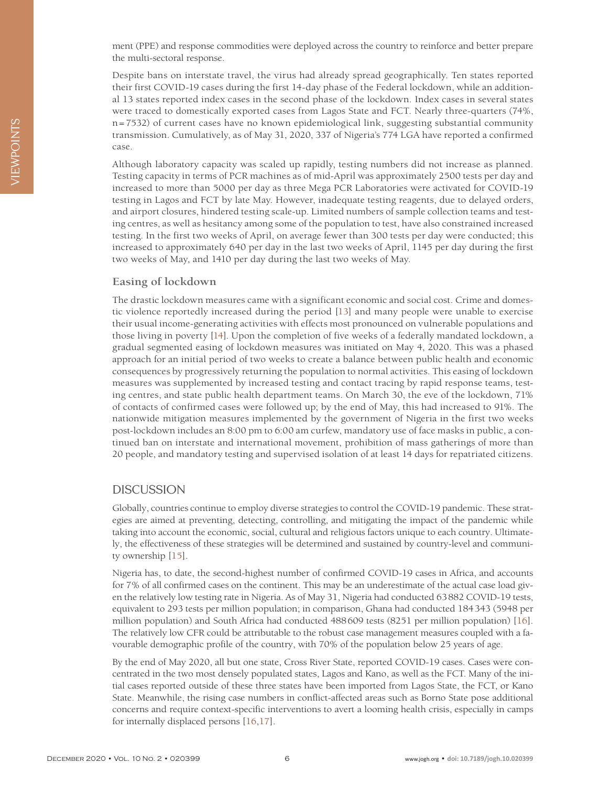ment (PPE) and response commodities were deployed across the country to reinforce and better prepare the multi-sectoral response.

Despite bans on interstate travel, the virus had already spread geographically. Ten states reported their first COVID-19 cases during the first 14-day phase of the Federal lockdown, while an additional 13 states reported index cases in the second phase of the lockdown. Index cases in several states were traced to domestically exported cases from Lagos State and FCT. Nearly three-quarters (74%, n=7532) of current cases have no known epidemiological link, suggesting substantial community transmission. Cumulatively, as of May 31, 2020, 337 of Nigeria's 774 LGA have reported a confirmed case.

Although laboratory capacity was scaled up rapidly, testing numbers did not increase as planned. Testing capacity in terms of PCR machines as of mid-April was approximately 2500 tests per day and increased to more than 5000 per day as three Mega PCR Laboratories were activated for COVID-19 testing in Lagos and FCT by late May. However, inadequate testing reagents, due to delayed orders, and airport closures, hindered testing scale-up. Limited numbers of sample collection teams and testing centres, as well as hesitancy among some of the population to test, have also constrained increased testing. In the first two weeks of April, on average fewer than 300 tests per day were conducted; this increased to approximately 640 per day in the last two weeks of April, 1145 per day during the first two weeks of May, and 1410 per day during the last two weeks of May.

#### **Easing of lockdown**

The drastic lockdown measures came with a significant economic and social cost. Crime and domestic violence reportedly increased during the period [\[13\]](#page-7-12) and many people were unable to exercise their usual income-generating activities with effects most pronounced on vulnerable populations and those living in poverty [\[14](#page-7-13)]. Upon the completion of five weeks of a federally mandated lockdown, a gradual segmented easing of lockdown measures was initiated on May 4, 2020. This was a phased approach for an initial period of two weeks to create a balance between public health and economic consequences by progressively returning the population to normal activities. This easing of lockdown measures was supplemented by increased testing and contact tracing by rapid response teams, testing centres, and state public health department teams. On March 30, the eve of the lockdown, 71% of contacts of confirmed cases were followed up; by the end of May, this had increased to 91%. The nationwide mitigation measures implemented by the government of Nigeria in the first two weeks post-lockdown includes an 8:00 pm to 6:00 am curfew, mandatory use of face masks in public, a continued ban on interstate and international movement, prohibition of mass gatherings of more than 20 people, and mandatory testing and supervised isolation of at least 14 days for repatriated citizens.

### **DISCUSSION**

Globally, countries continue to employ diverse strategies to control the COVID-19 pandemic. These strategies are aimed at preventing, detecting, controlling, and mitigating the impact of the pandemic while taking into account the economic, social, cultural and religious factors unique to each country. Ultimately, the effectiveness of these strategies will be determined and sustained by country-level and community ownership [\[15\]](#page-7-14).

Nigeria has, to date, the second-highest number of confirmed COVID-19 cases in Africa, and accounts for 7% of all confirmed cases on the continent. This may be an underestimate of the actual case load given the relatively low testing rate in Nigeria. As of May 31, Nigeria had conducted 63882 COVID-19 tests, equivalent to 293 tests per million population; in comparison, Ghana had conducted 184343 (5948 per million population) and South Africa had conducted 488609 tests (8251 per million population) [[16](#page-8-0)]. The relatively low CFR could be attributable to the robust case management measures coupled with a favourable demographic profile of the country, with 70% of the population below 25 years of age.

By the end of May 2020, all but one state, Cross River State, reported COVID-19 cases. Cases were concentrated in the two most densely populated states, Lagos and Kano, as well as the FCT. Many of the initial cases reported outside of these three states have been imported from Lagos State, the FCT, or Kano State. Meanwhile, the rising case numbers in conflict-affected areas such as Borno State pose additional concerns and require context-specific interventions to avert a looming health crisis, especially in camps for internally displaced persons [\[16,](#page-8-0)[17](#page-8-1)].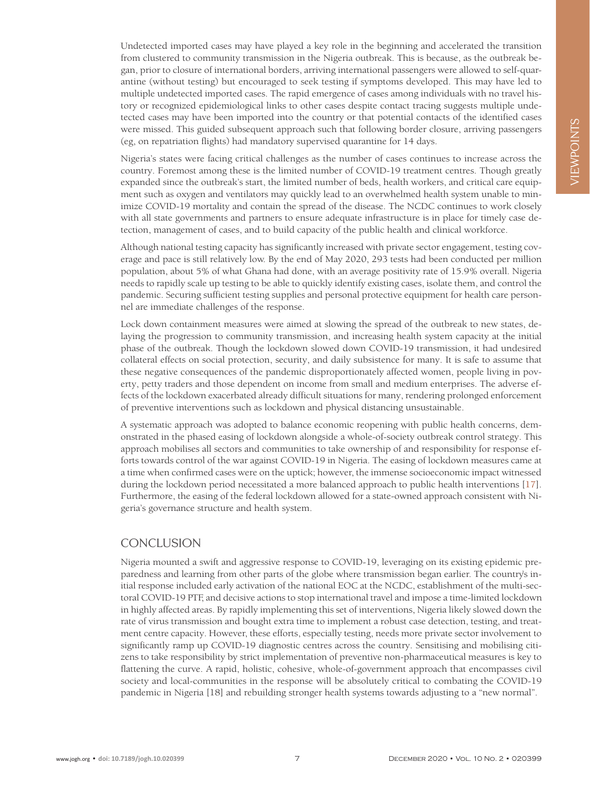Undetected imported cases may have played a key role in the beginning and accelerated the transition from clustered to community transmission in the Nigeria outbreak. This is because, as the outbreak began, prior to closure of international borders, arriving international passengers were allowed to self-quarantine (without testing) but encouraged to seek testing if symptoms developed. This may have led to multiple undetected imported cases. The rapid emergence of cases among individuals with no travel history or recognized epidemiological links to other cases despite contact tracing suggests multiple undetected cases may have been imported into the country or that potential contacts of the identified cases were missed. This guided subsequent approach such that following border closure, arriving passengers (eg, on repatriation flights) had mandatory supervised quarantine for 14 days.

Nigeria's states were facing critical challenges as the number of cases continues to increase across the country. Foremost among these is the limited number of COVID-19 treatment centres. Though greatly expanded since the outbreak's start, the limited number of beds, health workers, and critical care equipment such as oxygen and ventilators may quickly lead to an overwhelmed health system unable to minimize COVID-19 mortality and contain the spread of the disease. The NCDC continues to work closely with all state governments and partners to ensure adequate infrastructure is in place for timely case detection, management of cases, and to build capacity of the public health and clinical workforce.

Although national testing capacity has significantly increased with private sector engagement, testing coverage and pace is still relatively low. By the end of May 2020, 293 tests had been conducted per million population, about 5% of what Ghana had done, with an average positivity rate of 15.9% overall. Nigeria needs to rapidly scale up testing to be able to quickly identify existing cases, isolate them, and control the pandemic. Securing sufficient testing supplies and personal protective equipment for health care personnel are immediate challenges of the response.

Lock down containment measures were aimed at slowing the spread of the outbreak to new states, delaying the progression to community transmission, and increasing health system capacity at the initial phase of the outbreak. Though the lockdown slowed down COVID-19 transmission, it had undesired collateral effects on social protection, security, and daily subsistence for many. It is safe to assume that these negative consequences of the pandemic disproportionately affected women, people living in poverty, petty traders and those dependent on income from small and medium enterprises. The adverse effects of the lockdown exacerbated already difficult situations for many, rendering prolonged enforcement of preventive interventions such as lockdown and physical distancing unsustainable.

A systematic approach was adopted to balance economic reopening with public health concerns, demonstrated in the phased easing of lockdown alongside a whole-of-society outbreak control strategy. This approach mobilises all sectors and communities to take ownership of and responsibility for response efforts towards control of the war against COVID-19 in Nigeria. The easing of lockdown measures came at a time when confirmed cases were on the uptick; however, the immense socioeconomic impact witnessed during the lockdown period necessitated a more balanced approach to public health interventions [\[17\]](#page-7-0). Furthermore, the easing of the federal lockdown allowed for a state-owned approach consistent with Nigeria's governance structure and health system.

### **CONCLUSION**

Nigeria mounted a swift and aggressive response to COVID-19, leveraging on its existing epidemic preparedness and learning from other parts of the globe where transmission began earlier. The country's initial response included early activation of the national EOC at the NCDC, establishment of the multi-sectoral COVID-19 PTF, and decisive actions to stop international travel and impose a time-limited lockdown in highly affected areas. By rapidly implementing this set of interventions, Nigeria likely slowed down the rate of virus transmission and bought extra time to implement a robust case detection, testing, and treatment centre capacity. However, these efforts, especially testing, needs more private sector involvement to significantly ramp up COVID-19 diagnostic centres across the country. Sensitising and mobilising citizens to take responsibility by strict implementation of preventive non-pharmaceutical measures is key to flattening the curve. A rapid, holistic, cohesive, whole-of-government approach that encompasses civil society and local-communities in the response will be absolutely critical to combating the COVID-19 pandemic in Nigeria [18] and rebuilding stronger health systems towards adjusting to a "new normal".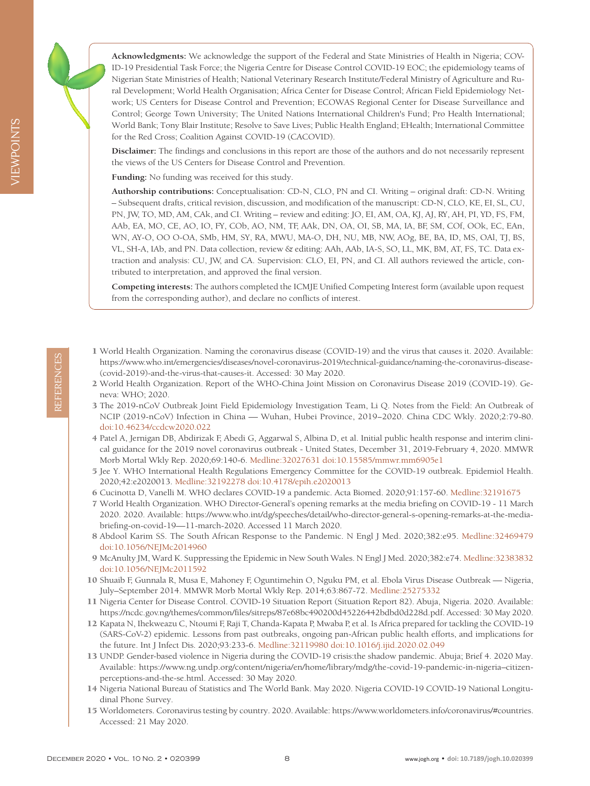

VIEWPOINTS

**IEWPOINTS** 

**Acknowledgments:** We acknowledge the support of the Federal and State Ministries of Health in Nigeria; COV-ID-19 Presidential Task Force; the Nigeria Centre for Disease Control COVID-19 EOC; the epidemiology teams of Nigerian State Ministries of Health; National Veterinary Research Institute/Federal Ministry of Agriculture and Rural Development; World Health Organisation; Africa Center for Disease Control; African Field Epidemiology Network; US Centers for Disease Control and Prevention; ECOWAS Regional Center for Disease Surveillance and Control; George Town University; The United Nations International Children's Fund; Pro Health International; World Bank; Tony Blair Institute; Resolve to Save Lives; Public Health England; EHealth; International Committee for the Red Cross; Coalition Against COVID-19 (CACOVID).

**Disclaimer:** The findings and conclusions in this report are those of the authors and do not necessarily represent the views of the US Centers for Disease Control and Prevention.

**Funding:** No funding was received for this study.

**Authorship contributions:** Conceptualisation: CD-N, CLO, PN and CI. Writing – original draft: CD-N. Writing – Subsequent drafts, critical revision, discussion, and modification of the manuscript: CD-N, CLO, KE, EI, SL, CU, PN, JW, TO, MD, AM, CAk, and CI. Writing – review and editing: JO, EI, AM, OA, KJ, AJ, RY, AH, PI, YD, FS, FM, AAb, EA, MO, CE, AO, IO, FY, COb, AO, NM, TF, AAk, DN, OA, OI, SB, MA, IA, BF, SM, COf, OOk, EC, EAn, WN, AY-O, OO O-OA, SMb, HM, SY, RA, MWU, MA-O, DH, NU, MB, NW, AOg, BE, BA, ID, MS, OAl, TJ, BS, VL, SH-A, IAb, and PN. Data collection, review & editing: AAh, AAb, IA-S, SO, LL, MK, BM, AT, FS, TC. Data extraction and analysis: CU, JW, and CA. Supervision: CLO, EI, PN, and CI. All authors reviewed the article, contributed to interpretation, and approved the final version.

**Competing interests:** The authors completed the ICMJE Unified Competing Interest form (available upon request from the corresponding author), and declare no conflicts of interest.

- <span id="page-7-0"></span>1 World Health Organization. Naming the coronavirus disease (COVID-19) and the virus that causes it. 2020. Available: https://www.who.int/emergencies/diseases/novel-coronavirus-2019/technical-guidance/naming-the-coronavirus-disease- (covid-2019)-and-the-virus-that-causes-it. Accessed: 30 May 2020.
- <span id="page-7-1"></span>2 World Health Organization. Report of the WHO-China Joint Mission on Coronavirus Disease 2019 (COVID-19). Geneva: WHO; 2020.
- <span id="page-7-2"></span>3 The 2019-nCoV Outbreak Joint Field Epidemiology Investigation Team, Li Q. Notes from the Field: An Outbreak of NCIP (2019-nCoV) Infection in China — Wuhan, Hubei Province, 2019−2020. China CDC Wkly. 2020;2:79-80. doi:10.46234/ccdcw2020.022
- <span id="page-7-3"></span>4 Patel A, Jernigan DB, Abdirizak F, Abedi G, Aggarwal S, Albina D, et al. Initial public health response and interim clinical guidance for the 2019 novel coronavirus outbreak - United States, December 31, 2019-February 4, 2020. MMWR Morb Mortal Wkly Rep. 2020;69:140-6. Medline:32027631 doi:10.15585/mmwr.mm6905e1
- <span id="page-7-4"></span>5 Jee Y. WHO International Health Regulations Emergency Committee for the COVID-19 outbreak. Epidemiol Health. 2020;42:e2020013. Medline:32192278 doi:10.4178/epih.e2020013
- <span id="page-7-5"></span>6 Cucinotta D, Vanelli M. WHO declares COVID-19 a pandemic. Acta Biomed. 2020;91:157-60. Medline:32191675
- <span id="page-7-6"></span>7 World Health Organization. WHO Director-General's opening remarks at the media briefing on COVID-19 - 11 March 2020. 2020. Available: https://www.who.int/dg/speeches/detail/who-director-general-s-opening-remarks-at-the-mediabriefing-on-covid-19—11-march-2020. Accessed 11 March 2020.
- <span id="page-7-7"></span>8 Abdool Karim SS. The South African Response to the Pandemic. N Engl J Med. 2020;382:e95. Medline:32469479 doi:10.1056/NEJMc2014960
- <span id="page-7-8"></span>9 McAnulty JM, Ward K. Suppressing the Epidemic in New South Wales. N Engl J Med. 2020;382:e74. Medline:32383832 doi:10.1056/NEJMc2011592
- <span id="page-7-9"></span>10 Shuaib F, Gunnala R, Musa E, Mahoney F, Oguntimehin O, Nguku PM, et al. Ebola Virus Disease Outbreak — Nigeria, July–September 2014. MMWR Morb Mortal Wkly Rep. 2014;63:867-72. Medline:25275332
- <span id="page-7-10"></span>11 Nigeria Center for Disease Control. COVID-19 Situation Report (Situation Report 82). Abuja, Nigeria. 2020. Available: https://ncdc.gov.ng/themes/common/files/sitreps/87e68bc490200d45226442bdbd0d228d.pdf. Accessed: 30 May 2020.
- <span id="page-7-11"></span>12 Kapata N, Ihekweazu C, Ntoumi F, Raji T, Chanda-Kapata P, Mwaba P, et al. Is Africa prepared for tackling the COVID-19 (SARS-CoV-2) epidemic. Lessons from past outbreaks, ongoing pan-African public health efforts, and implications for the future. Int J Infect Dis. 2020;93:233-6. Medline:32119980 doi:10.1016/j.ijid.2020.02.049
- <span id="page-7-12"></span>13 UNDP. Gender-based violence in Nigeria during the COVID-19 crisis:the shadow pandemic. Abuja; Brief 4. 2020 May. Available: https://www.ng.undp.org/content/nigeria/en/home/library/mdg/the-covid-19-pandemic-in-nigeria–citizenperceptions-and-the-se.html. Accessed: 30 May 2020.
- <span id="page-7-13"></span>14 Nigeria National Bureau of Statistics and The World Bank. May 2020. Nigeria COVID-19 COVID-19 National Longitudinal Phone Survey.
- <span id="page-7-14"></span>15 Worldometers. Coronavirus testing by country. 2020. Available: https://www.worldometers.info/coronavirus/#countries. Accessed: 21 May 2020.